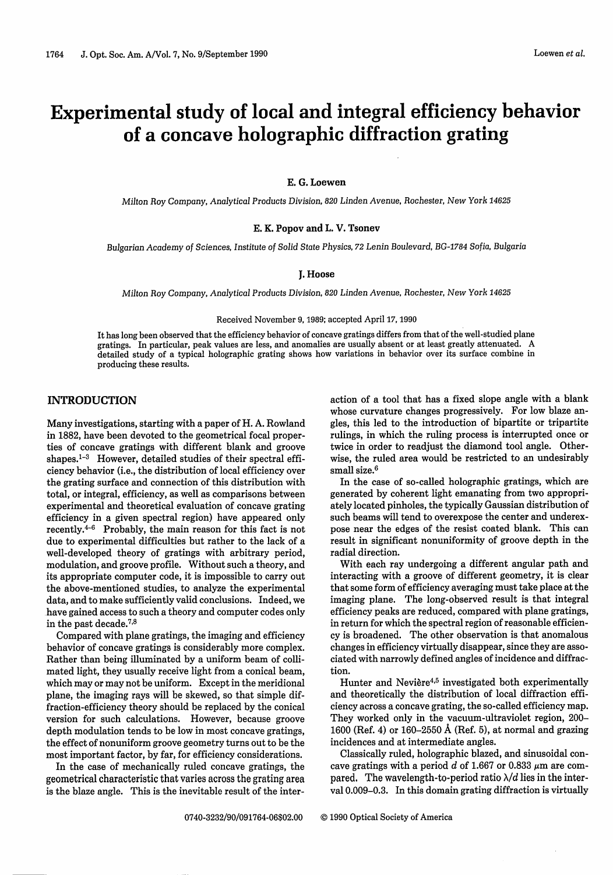# Experimental study of local and integral efficiency behavior of a concave holographic diffraction grating

E. G. **Loewen**

*Milton Roy Company, Analytical Products Division, 820 Linden Avenue, Rochester, New York 14625*

## E. K. Popov and L. V. Tsonev

*Bulgarian Academy of Sciences, Institute of Solid State Physics, 72 Lenin Boulevard, BG-1784 Sofia, Bulgaria*

#### J. **Hoose**

*Milton Roy Company, Analytical Products Division, 820 Linden Avenue, Rochester, New York 14625*

#### Received November 9, 1989; accepted April 17, 1990

It has long been observed that the efficiency behavior of concave gratings differs from that of the well-studied plane gratings. In particular, peak values are less, and anomalies are usually absent or at least greatly attenuated. A detailed study of a typical holographic grating shows how variations in behavior over its surface combine in producing these results.

# **INTRODUCTION**

Many investigations, starting with a paper of H. A. Rowland in 1882, have been devoted to the geometrical focal properties of concave gratings with different blank and groove shapes. $1-3$  However, detailed studies of their spectral efficiency behavior (i.e., the distribution of local efficiency over the grating surface and connection of this distribution with total, or integral, efficiency, as well as comparisons between experimental and theoretical evaluation of concave grating efficiency in a given spectral region) have appeared only recently.4- <sup>6</sup> Probably, the main reason for this fact is not due to experimental difficulties but rather to the lack of a well-developed theory of gratings with arbitrary period, modulation, and groove profile. Without such a theory, and its appropriate computer code, it is impossible to carry out the above-mentioned studies, to analyze the experimental data, and to make sufficiently valid conclusions. Indeed, we have gained access to such a theory and computer codes only in the past decade.78

Compared with plane gratings, the imaging and efficiency behavior of concave gratings is considerably more complex. Rather than being illuminated by a uniform beam of collimated light, they usually receive light from a conical beam, which may or may not be uniform. Except in the meridional plane, the imaging rays will be skewed, so that simple diffraction-efficiency theory should be replaced by the conical version for such calculations. However, because groove depth modulation tends to be low in most concave gratings, the effect of nonuniform groove geometry turns out to be the most important factor, by far, for efficiency considerations.

In the case of mechanically ruled concave gratings, the geometrical characteristic that varies across the grating area is the blaze angle. This is the inevitable result of the interaction of a tool that has a fixed slope angle with a blank whose curvature changes progressively. For low blaze angles, this led to the introduction of bipartite or tripartite rulings, in which the ruling process is interrupted once or twice in order to readjust the diamond tool angle. Otherwise, the ruled area would be restricted to an undesirably small size.<sup>6</sup>

In the case of so-called holographic gratings, which are generated by coherent light emanating from two appropriately located pinholes, the typically Gaussian distribution of such beams will tend to overexpose the center and underexpose near the edges of the resist coated blank. This can result in significant nonuniformity of groove depth in the radial direction.

With each ray undergoing a different angular path and interacting with a groove of different geometry, it is clear that some form of efficiency averaging must take place at the imaging plane. The long-observed result is that integral efficiency peaks are reduced, compared with plane gratings, in return for which the spectral region of reasonable efficiency is broadened. The other observation is that anomalous changes in efficiency virtually disappear, since they are associated with narrowly defined angles of incidence and diffraction.

Hunter and Nevière<sup>4,5</sup> investigated both experimentally and theoretically the distribution of local diffraction efficiency across a concave grating, the so-called efficiency map. They worked only in the vacuum-ultraviolet region, 200- 1600 (Ref. 4) or 160-2550 A (Ref. 5), at normal and grazing incidences and at intermediate angles.

Classically ruled, holographic blazed, and sinusoidal concave gratings with a period d of 1.667 or 0.833  $\mu$ m are compared. The wavelength-to-period ratio  $\lambda/d$  lies in the interval 0.009-0.3. In this domain grating diffraction is virtually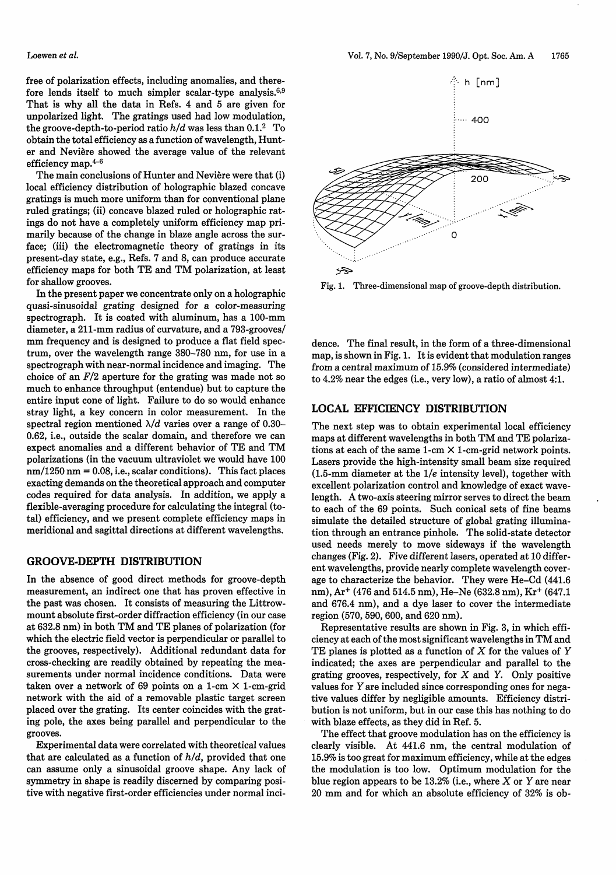free of polarization effects, including anomalies, and therefore lends itself to much simpler scalar-type analysis. $6,9$ That is why all the data in Refs. 4 and 5 are given for unpolarized light. The gratings used had low modulation, the groove-depth-to-period ratio *h/d* was less than 0.1.2 To obtain the total efficiency as a function of wavelength, Hunter and Neviere showed the average value of the relevant efficiency map. $^{4-6}$ 

The main conclusions of Hunter and Nevière were that (i) local efficiency distribution of holographic blazed concave gratings is much more uniform than for conventional plane ruled gratings; (ii) concave blazed ruled or holographic ratings do not have a completely uniform efficiency map primarily because of the change in blaze angle across the surface; (iii) the electromagnetic theory of gratings in its present-day state, e.g., Refs. 7 and 8, can produce accurate efficiency maps for both TE and TM polarization, at least for shallow grooves.

In the present paper we concentrate only on a holographic quasi-sinusoidal grating designed for a color-measuring spectrograph. It is coated with aluminum, has a 100-mm diameter, a 211-mm radius of curvature, and a 793-grooves/ mm frequency and is designed to produce a flat field spectrum, over the wavelength range 380-780 nm, for use in a spectrograph with near-normal incidence and imaging. The choice of an  $F/2$  aperture for the grating was made not so much to enhance throughput (entendue) but to capture the entire input cone of light. Failure to do so would enhance stray light, a key concern in color measurement. In the spectral region mentioned  $\lambda/d$  varies over a range of 0.30-0.62, i.e., outside the scalar domain, and therefore we can expect anomalies and a different behavior of TE and TM polarizations (in the vacuum ultraviolet we would have 100  $nm/1250$  nm = 0.08, i.e., scalar conditions). This fact places exacting demands on the theoretical approach and computer codes required for data analysis. In addition, we apply a flexible-averaging procedure for calculating the integral (total) efficiency, and we present complete efficiency maps in meridional and sagittal directions at different wavelengths.

# **GROOVE-DEPTH DISTRIBUTION**

In the absence of good direct methods for groove-depth measurement, an indirect one that has proven effective in the past was chosen. It consists of measuring the Littrowmount absolute first-order diffraction efficiency (in our case at 632.8 nm) in both TM and TE planes of polarization (for which the electric field vector is perpendicular or parallel to the grooves, respectively). Additional redundant data for cross-checking are readily obtained by repeating the measurements under normal incidence conditions. Data were taken over a network of 69 points on a 1-cm  $\times$  1-cm-grid network with the aid of a removable plastic target screen placed over the grating. Its center coincides with the grating pole, the axes being parallel and perpendicular to the grooves.

Experimental data were correlated with theoretical values that are calculated as a function of *h/d,* provided that one can assume only a sinusoidal groove shape. Any lack of symmetry in shape is readily discerned by comparing positive with negative first-order efficiencies under normal inci-



Fig. 1. Three-dimensional map of groove-depth distribution.

dence. The final result, in the form of a three-dimensional map, is shown in Fig. 1. It is evident that modulation ranges from a central maximum of 15.9% (considered intermediate) to 4.2% near the edges (i.e., very low), a ratio of almost 4:1.

# **LOCAL EFFICIENCY DISTRIBUTION**

The next step was to obtain experimental local efficiency maps at different wavelengths in both TM and TE polarizations at each of the same  $1$ -cm  $\times$  1-cm-grid network points. Lasers provide the high-intensity small beam size required (1.5-mm diameter at the 1/e intensity level), together with excellent polarization control and knowledge of exact wavelength. A two-axis steering mirror serves to direct the beam to each of the 69 points. Such conical sets of fine beams simulate the detailed structure of global grating illumination through an entrance pinhole. The solid-state detector used needs merely to move sideways if the wavelength changes (Fig. 2). Five different lasers, operated at 10 different wavelengths, provide nearly complete wavelength coverage to characterize the behavior. They were He-Cd (441.6 nm), Ar+ (476 and 514.5 nm), He-Ne (632.8 nm), Kr+ (647.1 and 676.4 nm), and a dye laser to cover the intermediate region (570, 590, 600, and 620 nm).

Representative results are shown in Fig. 3, in which efficiency at each of the most significant wavelengths in TM and TE planes is plotted as a function of X for the values of *Y* indicated; the axes are perpendicular and parallel to the grating grooves, respectively, for  $X$  and  $Y$ . Only positive values for Y are included since corresponding ones for negative values differ by negligible amounts. Efficiency distribution is not uniform, but in our case this has nothing to do with blaze effects, as they did in Ref. 5.

The effect that groove modulation has on the efficiency is clearly visible. At 441.6 nm, the central modulation of 15.9% is too great for maximum efficiency, while at the edges the modulation is too low. Optimum modulation for the blue region appears to be  $13.2\%$  (i.e., where X or Y are near 20 mm and for which an absolute efficiency of 32% is ob-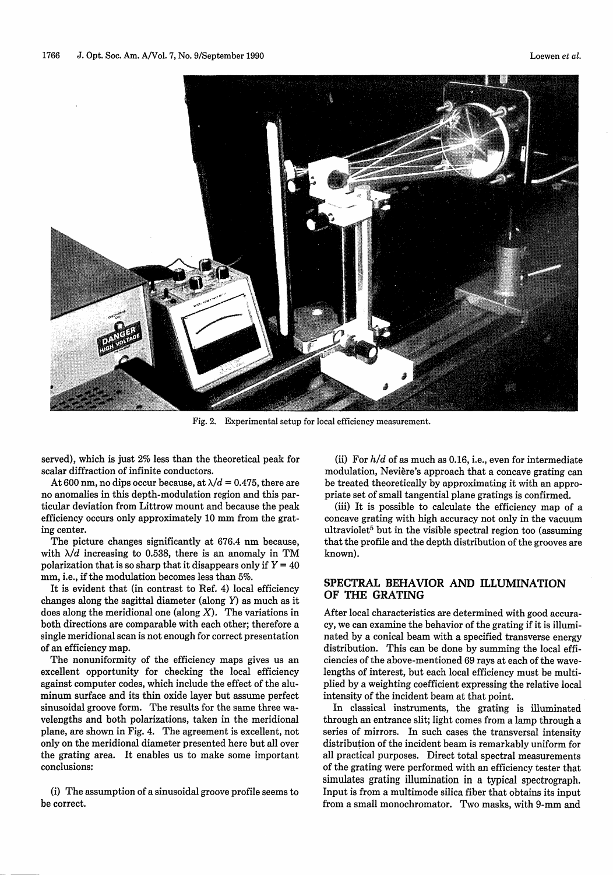

Fig. 2. Experimental setup for local efficiency measurement.

served), which is just 2% less than the theoretical peak for scalar diffraction of infinite conductors.

At 600 nm, no dips occur because, at  $\lambda/d = 0.475$ , there are no anomalies in this depth-modulation region and this particular deviation from Littrow mount and because the peak efficiency occurs only approximately 10 mm from the grating center.

The picture changes significantly at 676.4 nm because, with  $\lambda/d$  increasing to 0.538, there is an anomaly in TM polarization that is so sharp that it disappears only if  $Y = 40$ mm, i.e., if the modulation becomes less than 5%.

It is evident that (in contrast to Ref. 4) local efficiency changes along the sagittal diameter (along Y) as much as it does along the meridional one (along  $X$ ). The variations in both directions are comparable with each other; therefore a single meridional scan is not enough for correct presentation of an efficiency map.

The nonuniformity of the efficiency maps gives us an excellent opportunity for checking the local efficiency against computer codes, which include the effect of the aluminum surface and its thin oxide layer but assume perfect sinusoidal groove form. The results for the same three wavelengths and both polarizations, taken in the meridional plane, are shown in Fig. 4. The agreement is excellent, not only on the meridional diameter presented here but all over the grating area. It enables us to make some important conclusions:

(i) The assumption of a sinusoidal groove profile seems to be correct.

(ii) For *h/d* of as much as 0.16, i.e., even for intermediate modulation, Nevière's approach that a concave grating can be treated theoretically by approximating it with an appropriate set of small tangential plane gratings is confirmed.

(iii) It is possible to calculate the efficiency map of a concave grating with high accuracy not only in the vacuum ultraviolet<sup>5</sup> but in the visible spectral region too (assuming that the profile and the depth distribution of the grooves are known).

# **SPECTRAL BEHAVIOR AND ILLUMINATION OF THE GRATING**

After local characteristics are determined with good accuracy, we can examine the behavior of the grating if it is illuminated by a conical beam with a specified transverse energy distribution. This can be done by summing the local efficiencies of the above-mentioned 69 rays at each of the wavelengths of interest, but each local efficiency must be multiplied by a weighting coefficient expressing the relative local intensity of the incident beam at that point.

In classical instruments, the grating is illuminated through an entrance slit; light comes from a lamp through a series of mirrors. In such cases the transversal intensity distribution of the incident beam is remarkably uniform for all practical purposes. Direct total spectral measurements of the grating were performed with an efficiency tester that simulates grating illumination in a typical spectrograph. Input is from a multimode silica fiber that obtains its input from a small monochromator. Two masks, with 9-mm and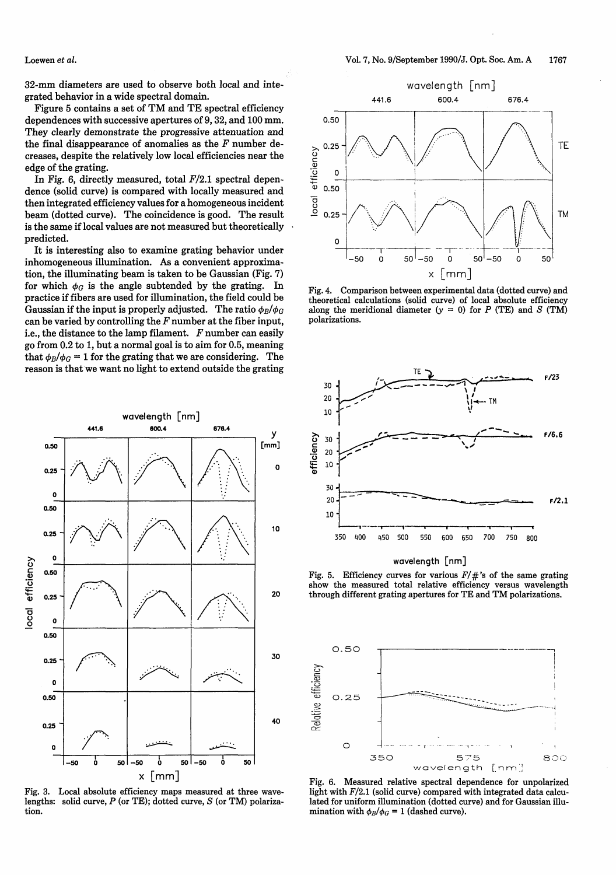**Loewen** *et al.*

32-mm diameters are used to observe both local and integrated behavior in a wide spectral domain.

Figure 5 contains a set of TM and TE spectral efficiency dependences with successive apertures of 9, 32, and 100 mm. They clearly demonstrate the progressive attenuation and the final disappearance of anomalies as the *F* number decreases, despite the relatively low local efficiencies near the edge of the grating.

In Fig. 6, directly measured, total  $F/2.1$  spectral dependence (solid curve) is compared with locally measured and then integrated efficiency values for a homogeneous incident beam (dotted curve). The coincidence is good. The result is the same if local values are not measured but theoretically predicted.

It is interesting also to examine grating behavior under inhomogeneous illumination. As a convenient approximation, the illuminating beam is taken to be Gaussian (Fig. 7) for which  $\phi_G$  is the angle subtended by the grating. In practice if fibers are used for illumination, the field could be Gaussian if the input is properly adjusted. The ratio  $\phi_B/\phi_G$ can be varied by controlling the *F* number at the fiber input, i.e., the distance to the lamp filament. *F* number can easily go from 0.2 to 1, but a normal goal is to aim for 0.5, meaning that  $\phi_B/\phi_G = 1$  for the grating that we are considering. The reason is that we want no light to extend outside the grating



Fig. 3. Local absolute efficiency maps measured at three wavelengths: solid curve,  $P$  (or TE); dotted curve,  $S$  (or TM) polarization.



Fig. 4. Comparison between experimental data (dotted curve) and theoretical calculations (solid curve) of local absolute efficiency along the meridional diameter  $(y = 0)$  for P (TE) and S (TM) polarizations.



wavelength [nm]

Fig. 5. Efficiency curves for various *F/#'s* of the same grating show the measured total relative efficiency versus wavelength 20 through different grating apertures for TE and TM polarizations.



Fig. 6. Measured relative spectral dependence for unpolarized light with *F/2.1* (solid curve) compared with integrated data calculated for uniform illumination (dotted curve) and for Gaussian illumination with  $\phi_B/\phi_G = 1$  (dashed curve).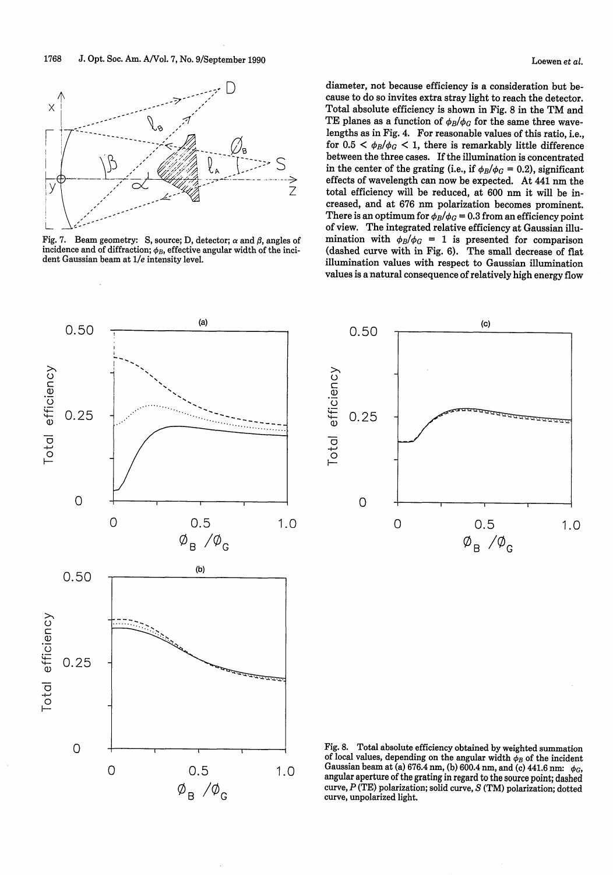

Fig. 7. Beam geometry: S, source; D, detector;  $\alpha$  and  $\beta$ , angles of incidence and of diffraction;  $\phi_B$ , effective angular width of the incident Gaussian beam at *1/e* intensity level.

diameter, not because efficiency is a consideration but because to do so invites extra stray light to reach the detector. Total absolute efficiency is shown in Fig. 8 in the TM and TE planes as a function of  $\phi_B/\phi_G$  for the same three wavelengths as in Fig. 4. For reasonable values of this ratio, i.e., for  $0.5 < \phi_B/\phi_G < 1$ , there is remarkably little difference between the three cases. If the illumination is concentrated in the center of the grating (i.e., if  $\phi_B/\phi_G = 0.2$ ), significant effects of wavelength can now be expected. At 441 nm the total efficiency will be reduced, at 600 nm it will be increased, and at 676 nm polarization becomes prominent. There is an optimum for  $\phi_B/\phi_G = 0.3$  from an efficiency point of view. The integrated relative efficiency at Gaussian illumination with  $\phi_B/\phi_G = 1$  is presented for comparison (dashed curve with in Fig. 6). The small decrease of flat illumination values with respect to Gaussian illumination values is a natural consequence of relatively high energy flow





Fig. 8. Total absolute efficiency obtained by weighted summation of local values, depending on the angular width  $\phi_B$  of the incident Gaussian beam at (a)  $676.4$  nm, (b)  $600.4$  nm, and (c)  $441.6$  nm:  $\phi_G$ , angular aperture of the grating in regard to the source point; dashed curve, P (TE) polarization; solid curve, S (TM) polarization; dotted curve, unpolarized light.